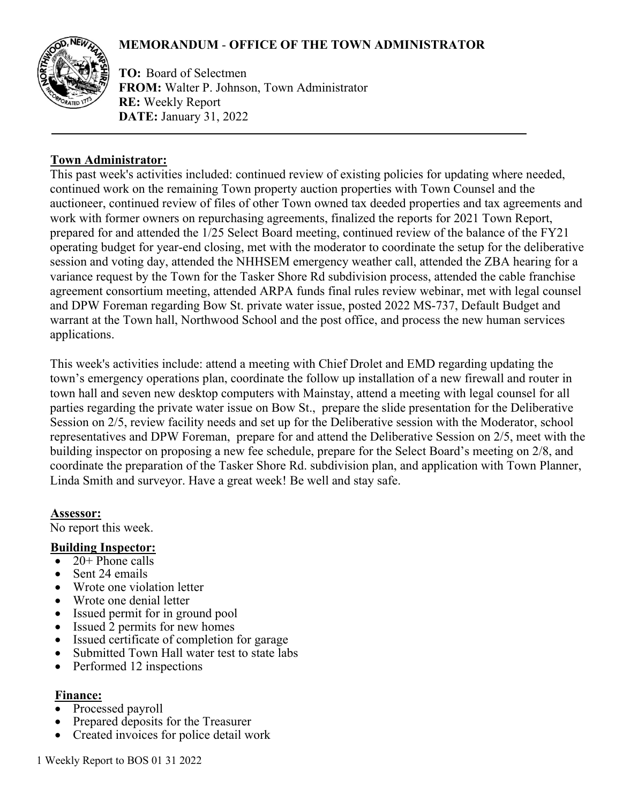# **MEMORANDUM** - **OFFICE OF THE TOWN ADMINISTRATOR**



**TO:** Board of Selectmen **FROM:** Walter P. Johnson, Town Administrator **RE:** Weekly Report **DATE:** January 31, 2022

#### **Town Administrator:**

This past week's activities included: continued review of existing policies for updating where needed, continued work on the remaining Town property auction properties with Town Counsel and the auctioneer, continued review of files of other Town owned tax deeded properties and tax agreements and work with former owners on repurchasing agreements, finalized the reports for 2021 Town Report, prepared for and attended the 1/25 Select Board meeting, continued review of the balance of the FY21 operating budget for year-end closing, met with the moderator to coordinate the setup for the deliberative session and voting day, attended the NHHSEM emergency weather call, attended the ZBA hearing for a variance request by the Town for the Tasker Shore Rd subdivision process, attended the cable franchise agreement consortium meeting, attended ARPA funds final rules review webinar, met with legal counsel and DPW Foreman regarding Bow St. private water issue, posted 2022 MS-737, Default Budget and warrant at the Town hall, Northwood School and the post office, and process the new human services applications.

This week's activities include: attend a meeting with Chief Drolet and EMD regarding updating the town's emergency operations plan, coordinate the follow up installation of a new firewall and router in town hall and seven new desktop computers with Mainstay, attend a meeting with legal counsel for all parties regarding the private water issue on Bow St., prepare the slide presentation for the Deliberative Session on 2/5, review facility needs and set up for the Deliberative session with the Moderator, school representatives and DPW Foreman, prepare for and attend the Deliberative Session on 2/5, meet with the building inspector on proposing a new fee schedule, prepare for the Select Board's meeting on 2/8, and coordinate the preparation of the Tasker Shore Rd. subdivision plan, and application with Town Planner, Linda Smith and surveyor. Have a great week! Be well and stay safe.

#### **Assessor:**

No report this week.

#### **Building Inspector:**

- $20+$  Phone calls
- Sent 24 emails
- Wrote one violation letter
- Wrote one denial letter
- Issued permit for in ground pool
- Issued 2 permits for new homes
- Issued certificate of completion for garage
- Submitted Town Hall water test to state labs
- Performed 12 inspections

#### **Finance:**

- Processed payroll
- Prepared deposits for the Treasurer
- Created invoices for police detail work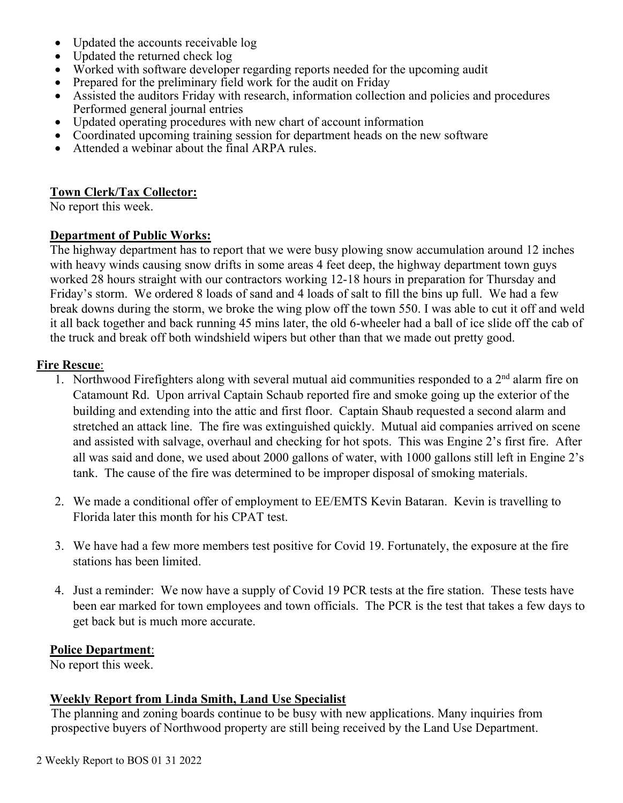- Updated the accounts receivable log
- Updated the returned check log
- Worked with software developer regarding reports needed for the upcoming audit
- Prepared for the preliminary field work for the audit on Friday
- Assisted the auditors Friday with research, information collection and policies and procedures Performed general journal entries
- Updated operating procedures with new chart of account information
- Coordinated upcoming training session for department heads on the new software
- Attended a webinar about the final ARPA rules.

#### **Town Clerk/Tax Collector:**

No report this week.

#### **Department of Public Works:**

The highway department has to report that we were busy plowing snow accumulation around 12 inches with heavy winds causing snow drifts in some areas 4 feet deep, the highway department town guys worked 28 hours straight with our contractors working 12-18 hours in preparation for Thursday and Friday's storm. We ordered 8 loads of sand and 4 loads of salt to fill the bins up full. We had a few break downs during the storm, we broke the wing plow off the town 550. I was able to cut it off and weld it all back together and back running 45 mins later, the old 6-wheeler had a ball of ice slide off the cab of the truck and break off both windshield wipers but other than that we made out pretty good.

#### **Fire Rescue**:

- 1. Northwood Firefighters along with several mutual aid communities responded to a  $2<sup>nd</sup>$  alarm fire on Catamount Rd. Upon arrival Captain Schaub reported fire and smoke going up the exterior of the building and extending into the attic and first floor. Captain Shaub requested a second alarm and stretched an attack line. The fire was extinguished quickly. Mutual aid companies arrived on scene and assisted with salvage, overhaul and checking for hot spots. This was Engine 2's first fire. After all was said and done, we used about 2000 gallons of water, with 1000 gallons still left in Engine 2's tank. The cause of the fire was determined to be improper disposal of smoking materials.
- 2. We made a conditional offer of employment to EE/EMTS Kevin Bataran. Kevin is travelling to Florida later this month for his CPAT test.
- 3. We have had a few more members test positive for Covid 19. Fortunately, the exposure at the fire stations has been limited.
- 4. Just a reminder: We now have a supply of Covid 19 PCR tests at the fire station. These tests have been ear marked for town employees and town officials. The PCR is the test that takes a few days to get back but is much more accurate.

## **Police Department**:

No report this week.

## **Weekly Report from Linda Smith, Land Use Specialist**

The planning and zoning boards continue to be busy with new applications. Many inquiries from prospective buyers of Northwood property are still being received by the Land Use Department.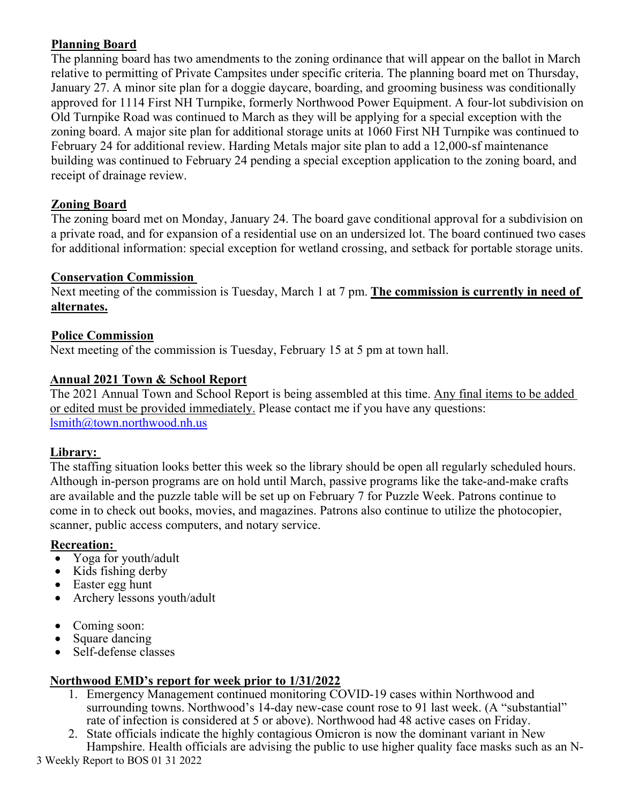# **Planning Board**

The planning board has two amendments to the zoning ordinance that will appear on the ballot in March relative to permitting of Private Campsites under specific criteria. The planning board met on Thursday, January 27. A minor site plan for a doggie daycare, boarding, and grooming business was conditionally approved for 1114 First NH Turnpike, formerly Northwood Power Equipment. A four-lot subdivision on Old Turnpike Road was continued to March as they will be applying for a special exception with the zoning board. A major site plan for additional storage units at 1060 First NH Turnpike was continued to February 24 for additional review. Harding Metals major site plan to add a 12,000-sf maintenance building was continued to February 24 pending a special exception application to the zoning board, and receipt of drainage review.

# **Zoning Board**

The zoning board met on Monday, January 24. The board gave conditional approval for a subdivision on a private road, and for expansion of a residential use on an undersized lot. The board continued two cases for additional information: special exception for wetland crossing, and setback for portable storage units.

# **Conservation Commission**

Next meeting of the commission is Tuesday, March 1 at 7 pm. **The commission is currently in need of alternates.**

# **Police Commission**

Next meeting of the commission is Tuesday, February 15 at 5 pm at town hall.

# **Annual 2021 Town & School Report**

The 2021 Annual Town and School Report is being assembled at this time. Any final items to be added or edited must be provided immediately. Please contact me if you have any questions: [lsmith@town.northwood.nh.us](mailto:lsmith@town.northwood.nh.us)

## **Library:**

The staffing situation looks better this week so the library should be open all regularly scheduled hours. Although in-person programs are on hold until March, passive programs like the take-and-make crafts are available and the puzzle table will be set up on February 7 for Puzzle Week. Patrons continue to come in to check out books, movies, and magazines. Patrons also continue to utilize the photocopier, scanner, public access computers, and notary service.

## **Recreation:**

- Yoga for youth/adult
- Kids fishing derby
- Easter egg hunt
- Archery lessons youth/adult
- Coming soon:
- Square dancing
- Self-defense classes

# **Northwood EMD's report for week prior to 1/31/2022**

- 1. Emergency Management continued monitoring COVID-19 cases within Northwood and surrounding towns. Northwood's 14-day new-case count rose to 91 last week. (A "substantial" rate of infection is considered at 5 or above). Northwood had 48 active cases on Friday.
- 2. State officials indicate the highly contagious Omicron is now the dominant variant in New Hampshire. Health officials are advising the public to use higher quality face masks such as an N-

3 Weekly Report to BOS 01 31 2022